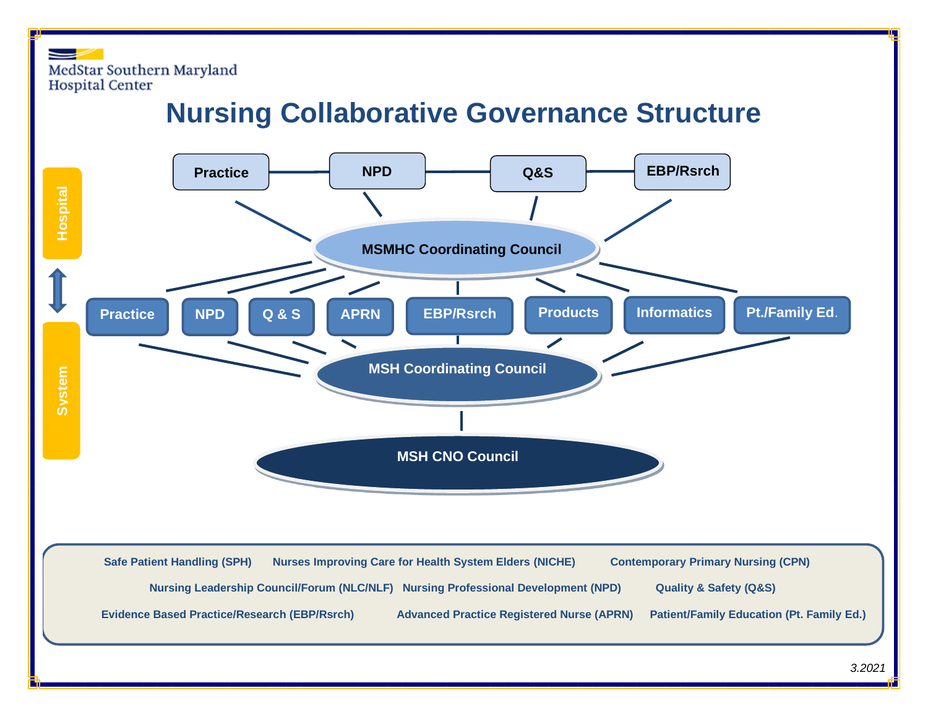MedStar Southern Maryland **Hospital Center** 

## **Nursing Collaborative Governance Structure**